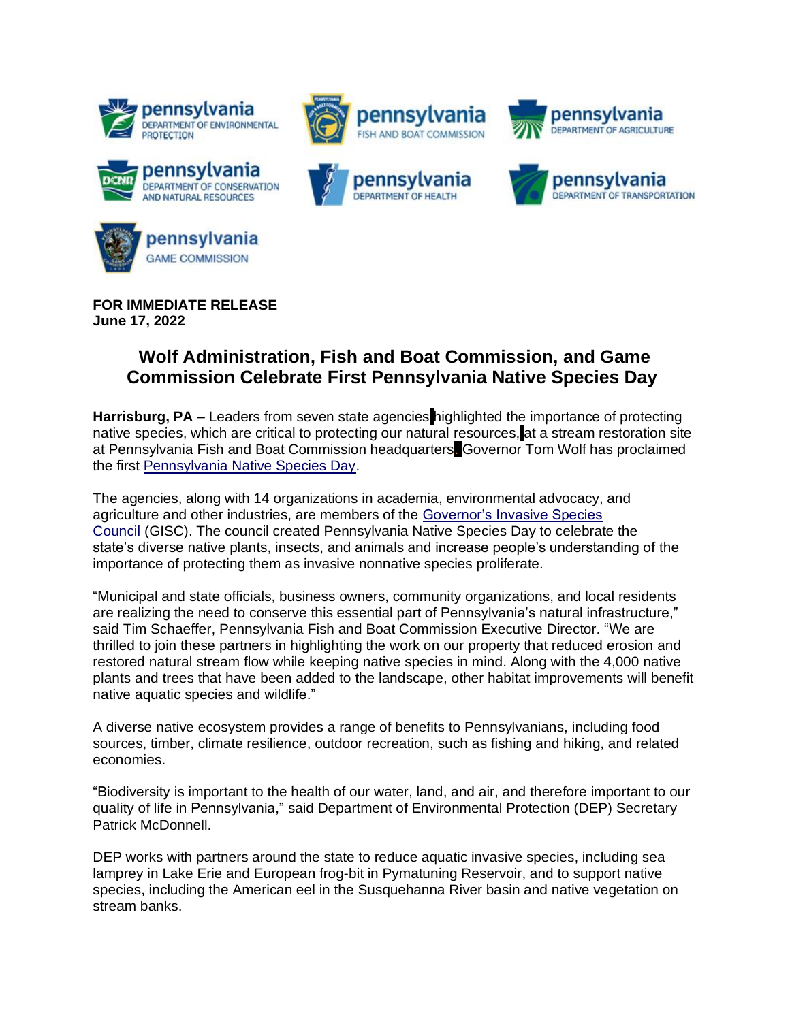











**FOR IMMEDIATE RELEASE June 17, 2022**

## **Wolf Administration, Fish and Boat Commission, and Game Commission Celebrate First Pennsylvania Native Species Day**

**Harrisburg, PA** – Leaders from seven state agencies highlighted the importance of protecting native species, which are critical to protecting our natural resources, at a stream restoration site at Pennsylvania Fish and Boat Commission headquarters. Governor Tom Wolf has proclaimed the first [Pennsylvania Native Species Day.](https://www.agriculture.pa.gov/Plants_Land_Water/PlantIndustry/GISC/Pages/PA-Native-Species-Day.aspx)

The agencies, along with 14 organizations in academia, environmental advocacy, and agriculture and other industries, are members of the [Governor's Invasive Species](https://www.agriculture.pa.gov/Plants_Land_Water/PlantIndustry/GISC/Pages/default.aspx)  [Council](https://www.agriculture.pa.gov/Plants_Land_Water/PlantIndustry/GISC/Pages/default.aspx) (GISC). The council created Pennsylvania Native Species Day to celebrate the state's diverse native plants, insects, and animals and increase people's understanding of the importance of protecting them as invasive nonnative species proliferate.

"Municipal and state officials, business owners, community organizations, and local residents are realizing the need to conserve this essential part of Pennsylvania's natural infrastructure," said Tim Schaeffer, Pennsylvania Fish and Boat Commission Executive Director. "We are thrilled to join these partners in highlighting the work on our property that reduced erosion and restored natural stream flow while keeping native species in mind. Along with the 4,000 native plants and trees that have been added to the landscape, other habitat improvements will benefit native aquatic species and wildlife."

A diverse native ecosystem provides a range of benefits to Pennsylvanians, including food sources, timber, climate resilience, outdoor recreation, such as fishing and hiking, and related economies.

"Biodiversity is important to the health of our water, land, and air, and therefore important to our quality of life in Pennsylvania," said Department of Environmental Protection (DEP) Secretary Patrick McDonnell.

DEP works with partners around the state to reduce aquatic invasive species, including sea lamprey in Lake Erie and European frog-bit in Pymatuning Reservoir, and to support native species, including the American eel in the Susquehanna River basin and native vegetation on stream banks.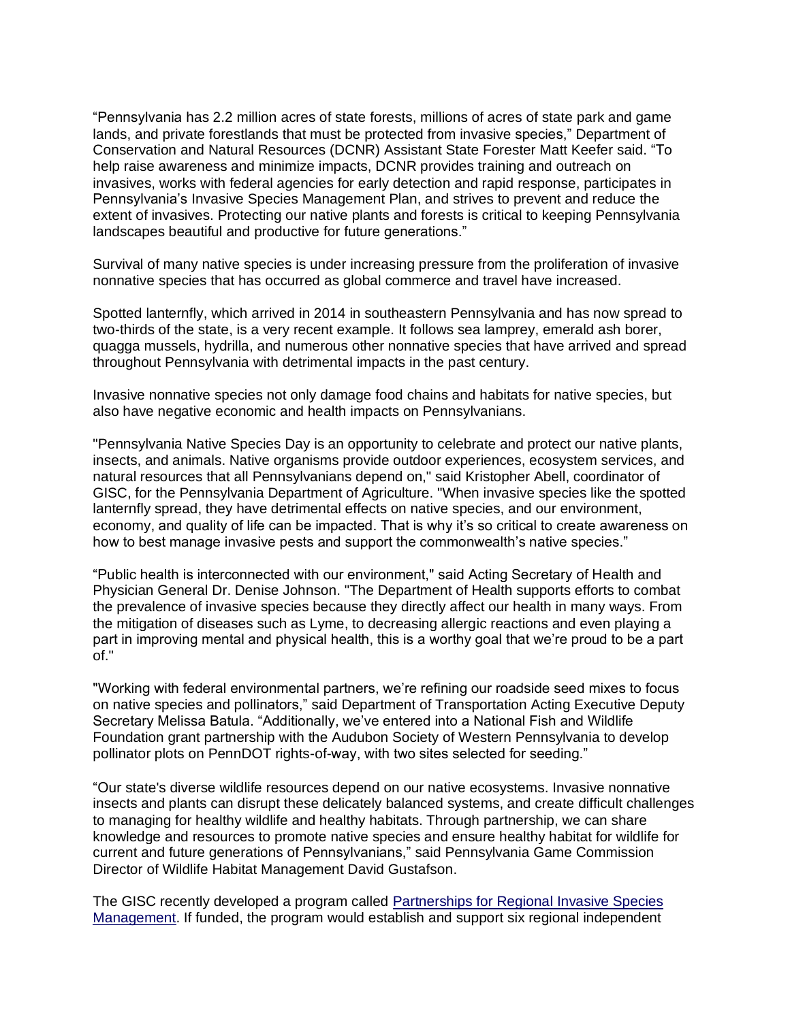"Pennsylvania has 2.2 million acres of state forests, millions of acres of state park and game lands, and private forestlands that must be protected from invasive species," Department of Conservation and Natural Resources (DCNR) Assistant State Forester Matt Keefer said. "To help raise awareness and minimize impacts, DCNR provides training and outreach on invasives, works with federal agencies for early detection and rapid response, participates in Pennsylvania's Invasive Species Management Plan, and strives to prevent and reduce the extent of invasives. Protecting our native plants and forests is critical to keeping Pennsylvania landscapes beautiful and productive for future generations."

Survival of many native species is under increasing pressure from the proliferation of invasive nonnative species that has occurred as global commerce and travel have increased.

Spotted lanternfly, which arrived in 2014 in southeastern Pennsylvania and has now spread to two-thirds of the state, is a very recent example. It follows sea lamprey, emerald ash borer, quagga mussels, hydrilla, and numerous other nonnative species that have arrived and spread throughout Pennsylvania with detrimental impacts in the past century.

Invasive nonnative species not only damage food chains and habitats for native species, but also have negative economic and health impacts on Pennsylvanians.

"Pennsylvania Native Species Day is an opportunity to celebrate and protect our native plants, insects, and animals. Native organisms provide outdoor experiences, ecosystem services, and natural resources that all Pennsylvanians depend on," said Kristopher Abell, coordinator of GISC, for the Pennsylvania Department of Agriculture. "When invasive species like the spotted lanternfly spread, they have detrimental effects on native species, and our environment, economy, and quality of life can be impacted. That is why it's so critical to create awareness on how to best manage invasive pests and support the commonwealth's native species."

"Public health is interconnected with our environment," said Acting Secretary of Health and Physician General Dr. Denise Johnson. "The Department of Health supports efforts to combat the prevalence of invasive species because they directly affect our health in many ways. From the mitigation of diseases such as Lyme, to decreasing allergic reactions and even playing a part in improving mental and physical health, this is a worthy goal that we're proud to be a part of."

"Working with federal environmental partners, we're refining our roadside seed mixes to focus on native species and pollinators," said Department of Transportation Acting Executive Deputy Secretary Melissa Batula. "Additionally, we've entered into a National Fish and Wildlife Foundation grant partnership with the Audubon Society of Western Pennsylvania to develop pollinator plots on PennDOT rights-of-way, with two sites selected for seeding."

"Our state's diverse wildlife resources depend on our native ecosystems. Invasive nonnative insects and plants can disrupt these delicately balanced systems, and create difficult challenges to managing for healthy wildlife and healthy habitats. Through partnership, we can share knowledge and resources to promote native species and ensure healthy habitat for wildlife for current and future generations of Pennsylvanians," said Pennsylvania Game Commission Director of Wildlife Habitat Management David Gustafson.

The GISC recently developed a program called [Partnerships for Regional Invasive Species](https://www.agriculture.pa.gov/Plants_Land_Water/PlantIndustry/GISC/Pages/Proposed-Partnerships-for-Regional-Invasive-Species-Management-in-Pennsylvania.aspx)  [Management.](https://www.agriculture.pa.gov/Plants_Land_Water/PlantIndustry/GISC/Pages/Proposed-Partnerships-for-Regional-Invasive-Species-Management-in-Pennsylvania.aspx) If funded, the program would establish and support six regional independent